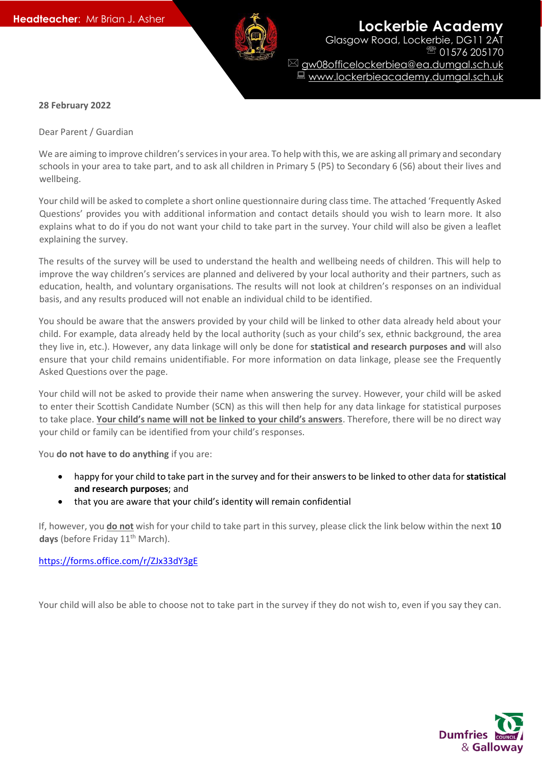

**Headteacher:** Mr Brian J. Asher **Lockerbie Academy** Glasgow Road, Lockerbie, DG11 2AT 01576 205170 gw08officelockerbiea@ea.dumgal.sch.uk ■ www.lockerbieacademy.dumgal.sch.uk

## **28 February 2022**

Dear Parent / Guardian

We are aiming to improve children's services in your area. To help with this, we are asking all primary and secondary schools in your area to take part, and to ask all children in Primary 5 (P5) to Secondary 6 (S6) about their lives and wellbeing.

Your child will be asked to complete a short online questionnaire during class time. The attached 'Frequently Asked Questions' provides you with additional information and contact details should you wish to learn more. It also explains what to do if you do not want your child to take part in the survey. Your child will also be given a leaflet explaining the survey.

The results of the survey will be used to understand the health and wellbeing needs of children. This will help to improve the way children's services are planned and delivered by your local authority and their partners, such as education, health, and voluntary organisations. The results will not look at children's responses on an individual basis, and any results produced will not enable an individual child to be identified.

You should be aware that the answers provided by your child will be linked to other data already held about your child. For example, data already held by the local authority (such as your child's sex, ethnic background, the area they live in, etc.). However, any data linkage will only be done for **statistical and research purposes and** will also ensure that your child remains unidentifiable. For more information on data linkage, please see the Frequently Asked Questions over the page.

Your child will not be asked to provide their name when answering the survey. However, your child will be asked to enter their Scottish Candidate Number (SCN) as this will then help for any data linkage for statistical purposes to take place. **Your child's name will not be linked to your child's answers**. Therefore, there will be no direct way your child or family can be identified from your child's responses.

You **do not have to do anything** if you are:

- happy for your child to take part in the survey and for their answers to be linked to other data for **statistical and research purposes**; and
- that you are aware that your child's identity will remain confidential

If, however, you **do not** wish for your child to take part in this survey, please click the link below within the next **10**  days (before Friday 11<sup>th</sup> March).

<https://forms.office.com/r/ZJx33dY3gE>

Your child will also be able to choose not to take part in the survey if they do not wish to, even if you say they can.